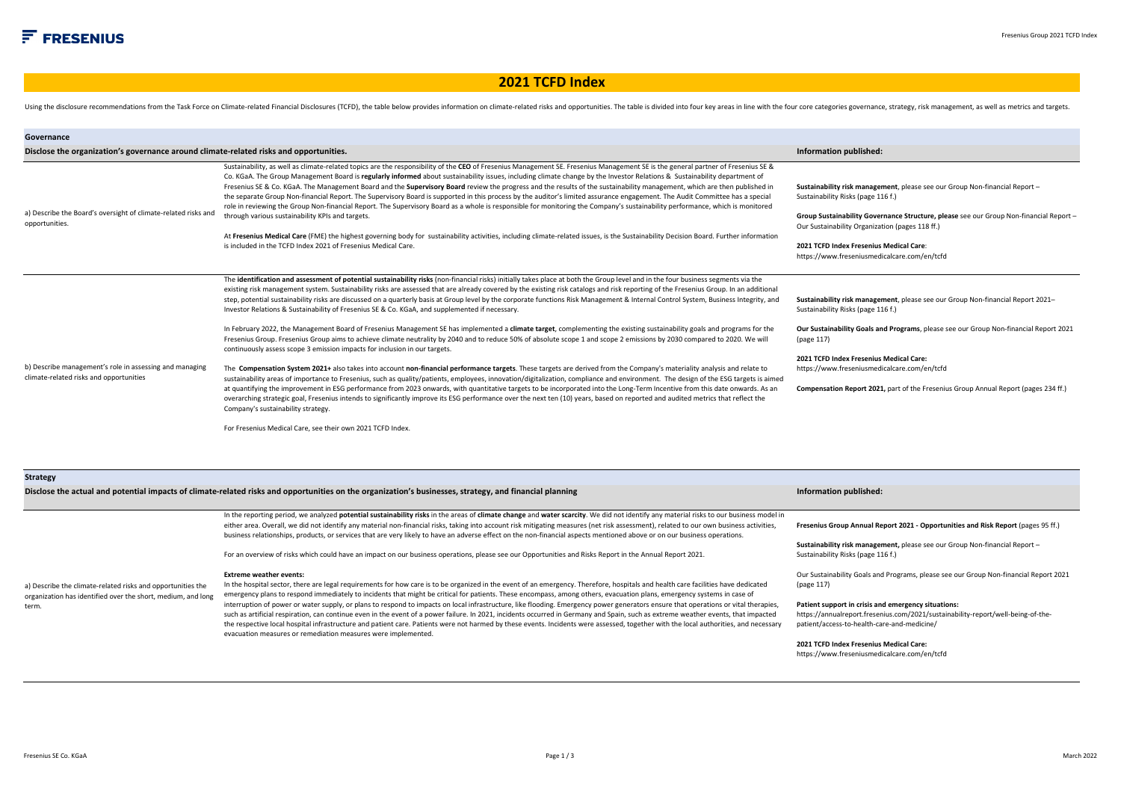## **2021 TCFD Index**

Using the disclosure recommendations from the Task Force on Climate-related Financial Disclosures (TCFD), the table below provides information on climate-related risks and opportunities. The table is divided into four key

| Governance                                                                                                                  |                                                                                                                                                                                                                                                                                                                                                                                                                                                                                                                                                                                                                                                                                                                                                                                                                                                                                                                                                                                                                                                                                                                                                                                                                           |                                                                                                                                                                                                                                                                                                                                                           |
|-----------------------------------------------------------------------------------------------------------------------------|---------------------------------------------------------------------------------------------------------------------------------------------------------------------------------------------------------------------------------------------------------------------------------------------------------------------------------------------------------------------------------------------------------------------------------------------------------------------------------------------------------------------------------------------------------------------------------------------------------------------------------------------------------------------------------------------------------------------------------------------------------------------------------------------------------------------------------------------------------------------------------------------------------------------------------------------------------------------------------------------------------------------------------------------------------------------------------------------------------------------------------------------------------------------------------------------------------------------------|-----------------------------------------------------------------------------------------------------------------------------------------------------------------------------------------------------------------------------------------------------------------------------------------------------------------------------------------------------------|
| Disclose the organization's governance around climate-related risks and opportunities.                                      |                                                                                                                                                                                                                                                                                                                                                                                                                                                                                                                                                                                                                                                                                                                                                                                                                                                                                                                                                                                                                                                                                                                                                                                                                           | Information published:                                                                                                                                                                                                                                                                                                                                    |
| a) Describe the Board's oversight of climate-related risks and<br>opportunities.                                            | Sustainability, as well as climate-related topics are the responsibility of the CEO of Fresenius Management SE. Fresenius Management SE is the general partner of Fresenius SE &<br>Co. KGaA. The Group Management Board is regularly informed about sustainability issues, including climate change by the Investor Relations & Sustainability department of<br>Fresenius SE & Co. KGaA. The Management Board and the Supervisory Board review the progress and the results of the sustainability management, which are then published in<br>the separate Group Non-financial Report. The Supervisory Board is supported in this process by the auditor's limited assurance engagement. The Audit Committee has a special<br>role in reviewing the Group Non-financial Report. The Supervisory Board as a whole is responsible for monitoring the Company's sustainability performance, which is monitored<br>through various sustainability KPIs and targets.<br>At Fresenius Medical Care (FME) the highest governing body for sustainability activities, including climate-related issues, is the Sustainability Decision Board. Further information<br>is included in the TCFD Index 2021 of Fresenius Medical Care. | Sustainability risk management, please see our Group Non-financial Report -<br>Sustainability Risks (page 116 f.)<br>Group Sustainability Governance Structure, please see our Group Non-financial Report -<br>Our Sustainability Organization (pages 118 ff.)<br>2021 TCFD Index Fresenius Medical Care:<br>https://www.freseniusmedicalcare.com/en/tcfd |
|                                                                                                                             | The identification and assessment of potential sustainability risks (non-financial risks) initially takes place at both the Group level and in the four business segments via the<br>existing risk management system. Sustainability risks are assessed that are already covered by the existing risk catalogs and risk reporting of the Fresenius Group. In an additional<br>step, potential sustainability risks are discussed on a quarterly basis at Group level by the corporate functions Risk Management & Internal Control System, Business Integrity, and<br>Investor Relations & Sustainability of Fresenius SE & Co. KGaA, and supplemented if necessary.<br>In February 2022, the Management Board of Fresenius Management SE has implemented a climate target, complementing the existing sustainability goals and programs for the<br>Fresenius Group. Fresenius Group aims to achieve climate neutrality by 2040 and to reduce 50% of absolute scope 1 and scope 2 emissions by 2030 compared to 2020. We will                                                                                                                                                                                             | Sustainability risk management, please see our Group Non-financial Report 2021-<br>Sustainability Risks (page 116 f.)<br>Our Sustainability Goals and Programs, please see our Group Non-financial Report 2021                                                                                                                                            |
| b) Describe management's role in assessing and managing<br>climate-related risks and opportunities                          | continuously assess scope 3 emission impacts for inclusion in our targets.<br>The Compensation System 2021+ also takes into account non-financial performance targets. These targets are derived from the Company's materiality analysis and relate to<br>sustainability areas of importance to Fresenius, such as quality/patients, employees, innovation/digitalization, compliance and environment. The design of the ESG targets is aimed<br>at quantifying the improvement in ESG performance from 2023 onwards, with quantitative targets to be incorporated into the Long-Term Incentive from this date onwards. As an<br>overarching strategic goal, Fresenius intends to significantly improve its ESG performance over the next ten (10) years, based on reported and audited metrics that reflect the<br>Company's sustainability strategy.<br>For Fresenius Medical Care, see their own 2021 TCFD Index.                                                                                                                                                                                                                                                                                                      | (page 117)<br>2021 TCFD Index Fresenius Medical Care:<br>https://www.freseniusmedicalcare.com/en/tcfd<br>Compensation Report 2021, part of the Fresenius Group Annual Report (pages 234 ff.)                                                                                                                                                              |
| <b>Strategy</b>                                                                                                             | Disclose the actual and potential impacts of climate-related risks and opportunities on the organization's businesses, strategy, and financial planning                                                                                                                                                                                                                                                                                                                                                                                                                                                                                                                                                                                                                                                                                                                                                                                                                                                                                                                                                                                                                                                                   | Information published:                                                                                                                                                                                                                                                                                                                                    |
|                                                                                                                             | In the reporting period, we analyzed potential sustainability risks in the areas of climate change and water scarcity. We did not identify any material risks to our business model in<br>either area. Overall, we did not identify any material non-financial risks, taking into account risk mitigating measures (net risk assessment), related to our own business activities,<br>business relationships, products, or services that are very likely to have an adverse effect on the non-financial aspects mentioned above or on our business operations.                                                                                                                                                                                                                                                                                                                                                                                                                                                                                                                                                                                                                                                             | Fresenius Group Annual Report 2021 - Opportunities and Risk Report (pages 95 ff.)                                                                                                                                                                                                                                                                         |
|                                                                                                                             | For an overview of risks which could have an impact on our business operations, please see our Opportunities and Risks Report in the Annual Report 2021.                                                                                                                                                                                                                                                                                                                                                                                                                                                                                                                                                                                                                                                                                                                                                                                                                                                                                                                                                                                                                                                                  | Sustainability risk management, please see our Group Non-financial Report -<br>Sustainability Risks (page 116 f.)                                                                                                                                                                                                                                         |
| a) Describe the climate-related risks and opportunities the<br>organization has identified over the short, medium, and long | <b>Extreme weather events:</b><br>In the hospital sector, there are legal requirements for how care is to be organized in the event of an emergency. Therefore, hospitals and health care facilities have dedicated<br>emergency plans to respond immediately to incidents that might be critical for patients. These encompass, among others, evacuation plans, emergency systems in case of                                                                                                                                                                                                                                                                                                                                                                                                                                                                                                                                                                                                                                                                                                                                                                                                                             | Our Sustainability Goals and Programs, please see our Group Non-financial Report 2021<br>(page 117)                                                                                                                                                                                                                                                       |
| term.                                                                                                                       | interruption of power or water supply, or plans to respond to impacts on local infrastructure, like flooding. Emergency power generators ensure that operations or vital therapies,<br>such as artificial respiration, can continue even in the event of a power failure. In 2021, incidents occurred in Germany and Spain, such as extreme weather events, that impacted                                                                                                                                                                                                                                                                                                                                                                                                                                                                                                                                                                                                                                                                                                                                                                                                                                                 | Patient support in crisis and emergency situations:<br>https://annualreport.fresenius.com/2021/sustainability-report/well-being-of-the-                                                                                                                                                                                                                   |

patient/access-to-health-care-and-medicine/ **2021 TCFD Index Fresenius Medical Care:** 

https://www.freseniusmedicalcare.com/en/tcfd

the respective local hospital infrastructure and patient care. Patients were not harmed by these events. Incidents were assessed, together with the local authorities, and necessary

evacuation measures or remediation measures were implemented.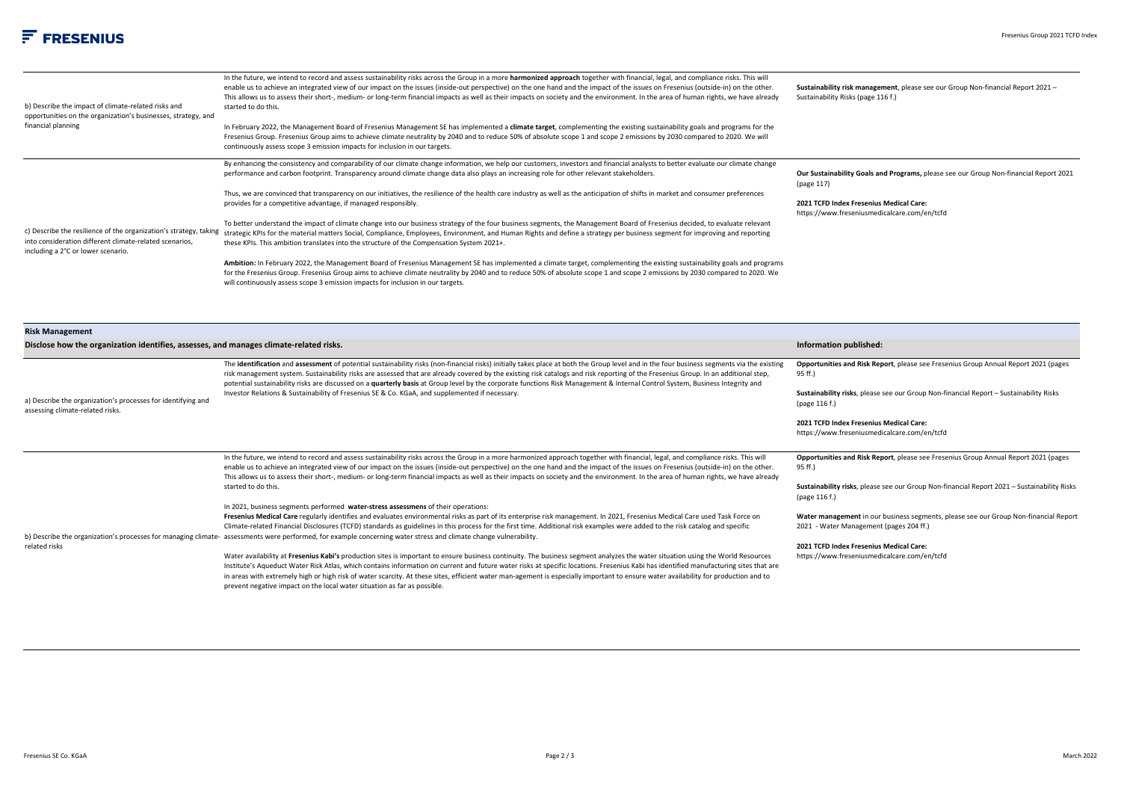| b) Describe the impact of climate-related risks and<br>opportunities on the organization's businesses, strategy, and<br>financial planning | In the future, we intend to record and assess sustainability risks across the Group in a more harmonized approach together with financial, legal, and compliance risks. This will<br>enable us to achieve an integrated view of our impact on the issues (inside-out perspective) on the one hand and the impact of the issues on Fresenius (outside-in) on the other.<br>This allows us to assess their short-, medium- or long-term financial impacts as well as their impacts on society and the environment. In the area of human rights, we have already<br>started to do this. | Sustainability risk management, please see our Group Non-financial Report 2021 -<br>Sustainability Risks (page 116 f.)          |
|--------------------------------------------------------------------------------------------------------------------------------------------|--------------------------------------------------------------------------------------------------------------------------------------------------------------------------------------------------------------------------------------------------------------------------------------------------------------------------------------------------------------------------------------------------------------------------------------------------------------------------------------------------------------------------------------------------------------------------------------|---------------------------------------------------------------------------------------------------------------------------------|
|                                                                                                                                            | In February 2022, the Management Board of Fresenius Management SE has implemented a climate target, complementing the existing sustainability goals and programs for the<br>Fresenius Group. Fresenius Group aims to achieve climate neutrality by 2040 and to reduce 50% of absolute scope 1 and scope 2 emissions by 2030 compared to 2020. We will<br>continuously assess scope 3 emission impacts for inclusion in our targets.                                                                                                                                                  |                                                                                                                                 |
|                                                                                                                                            | By enhancing the consistency and comparability of our climate change information, we help our customers, investors and financial analysts to better evaluate our climate change<br>performance and carbon footprint. Transparency around climate change data also plays an increasing role for other relevant stakeholders.                                                                                                                                                                                                                                                          | Our Sustainability Goals and Programs, please see our Group Non-financial Report 2021<br>(page 117)                             |
|                                                                                                                                            | Thus, we are convinced that transparency on our initiatives, the resilience of the health care industry as well as the anticipation of shifts in market and consumer preferences<br>provides for a competitive advantage, if managed responsibly.                                                                                                                                                                                                                                                                                                                                    | 2021 TCFD Index Fresenius Medical Care:<br>https://www.freseniusmedicalcare.com/en/tcfd                                         |
| into consideration different climate-related scenarios,<br>including a 2°C or lower scenario.                                              | To better understand the impact of climate change into our business strategy of the four business segments, the Management Board of Fresenius decided, to evaluate relevant<br>c) Describe the resilience of the organization's strategy, taking strategic KPIs for the material matters Social, Compliance, Employees, Environment, and Human Rights and define a strategy per business segment for improvin<br>these KPIs. This ambition translates into the structure of the Compensation System 2021+.                                                                           |                                                                                                                                 |
|                                                                                                                                            | Ambition: In February 2022, the Management Board of Fresenius Management SE has implemented a climate target, complementing the existing sustainability goals and programs<br>for the Fresenius Group. Fresenius Group aims to achieve climate neutrality by 2040 and to reduce 50% of absolute scope 1 and scope 2 emissions by 2030 compared to 2020. We<br>will continuously assess scope 3 emission impacts for inclusion in our targets.                                                                                                                                        |                                                                                                                                 |
| <b>Risk Management</b><br>Disclose how the organization identifies, assesses, and manages climate-related risks.                           |                                                                                                                                                                                                                                                                                                                                                                                                                                                                                                                                                                                      | Information published:                                                                                                          |
|                                                                                                                                            | The identification and assessment of potential sustainability risks (non-financial risks) initially takes place at both the Group level and in the four business segments via the existing                                                                                                                                                                                                                                                                                                                                                                                           | Opportunities and Risk Report, please see Fresenius Group Annual Report 2021 (pages<br>95 ff.)                                  |
| a) Describe the organization's processes for identifying and<br>assessing climate-related risks.                                           | risk management system. Sustainability risks are assessed that are already covered by the existing risk catalogs and risk reporting of the Fresenius Group. In an additional step,<br>potential sustainability risks are discussed on a quarterly basis at Group level by the corporate functions Risk Management & Internal Control System, Business Integrity and<br>Investor Relations & Sustainability of Fresenius SE & Co. KGaA, and supplemented if necessary.                                                                                                                | Sustainability risks, please see our Group Non-financial Report - Sustainability Risks<br>(page 116 f.)                         |
|                                                                                                                                            |                                                                                                                                                                                                                                                                                                                                                                                                                                                                                                                                                                                      | 2021 TCFD Index Fresenius Medical Care:<br>https://www.freseniusmedicalcare.com/en/tcfd                                         |
|                                                                                                                                            | In the future, we intend to record and assess sustainability risks across the Group in a more harmonized approach together with financial, legal, and compliance risks. This will<br>enable us to achieve an integrated view of our impact on the issues (inside-out perspective) on the one hand and the impact of the issues on Fresenius (outside-in) on the other.<br>This allows us to assess their short-, medium- or long-term financial impacts as well as their impacts on society and the environment. In the area of human rights, we have already                        | Opportunities and Risk Report, please see Fresenius Group Annual Report 2021 (pages<br>95 ff.)                                  |
|                                                                                                                                            | started to do this.                                                                                                                                                                                                                                                                                                                                                                                                                                                                                                                                                                  | Sustainability risks, please see our Group Non-financial Report 2021 - Sustainability Risks<br>(page 116 f.)                    |
|                                                                                                                                            | In 2021, business segments performed water-stress assessmens of their operations:<br>Fresenius Medical Care regularly identifies and evaluates environmental risks as part of its enterprise risk management. In 2021, Fresenius Medical Care used Task Force on<br>Climate-related Financial Disclosures (TCFD) standards as guidelines in this process for the first time. Additional risk examples were added to the risk catalog and specific                                                                                                                                    | Water management in our business segments, please see our Group Non-financial Report<br>2021 - Water Management (pages 204 ff.) |
| related risks                                                                                                                              | b) Describe the organization's processes for managing climate- assessments were performed, for example concerning water stress and climate change vulnerability.<br>Water availability at Fresenius Kabi's production sites is important to ensure business continuity. The business segment analyzes the water situation using the World Resources                                                                                                                                                                                                                                  | 2021 TCFD Index Fresenius Medical Care:<br>https://www.freseniusmedicalcare.com/en/tcfd                                         |